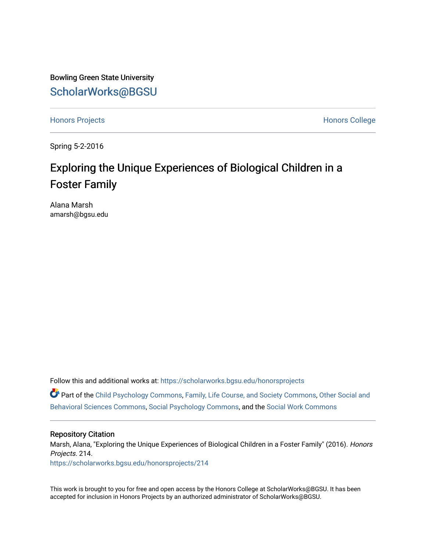Bowling Green State University [ScholarWorks@BGSU](https://scholarworks.bgsu.edu/) 

[Honors Projects](https://scholarworks.bgsu.edu/honorsprojects) **Honors** College

Spring 5-2-2016

# Exploring the Unique Experiences of Biological Children in a Foster Family

Alana Marsh amarsh@bgsu.edu

Follow this and additional works at: [https://scholarworks.bgsu.edu/honorsprojects](https://scholarworks.bgsu.edu/honorsprojects?utm_source=scholarworks.bgsu.edu%2Fhonorsprojects%2F214&utm_medium=PDF&utm_campaign=PDFCoverPages) 

Part of the [Child Psychology Commons,](http://network.bepress.com/hgg/discipline/1023?utm_source=scholarworks.bgsu.edu%2Fhonorsprojects%2F214&utm_medium=PDF&utm_campaign=PDFCoverPages) [Family, Life Course, and Society Commons,](http://network.bepress.com/hgg/discipline/419?utm_source=scholarworks.bgsu.edu%2Fhonorsprojects%2F214&utm_medium=PDF&utm_campaign=PDFCoverPages) [Other Social and](http://network.bepress.com/hgg/discipline/437?utm_source=scholarworks.bgsu.edu%2Fhonorsprojects%2F214&utm_medium=PDF&utm_campaign=PDFCoverPages)  [Behavioral Sciences Commons,](http://network.bepress.com/hgg/discipline/437?utm_source=scholarworks.bgsu.edu%2Fhonorsprojects%2F214&utm_medium=PDF&utm_campaign=PDFCoverPages) [Social Psychology Commons](http://network.bepress.com/hgg/discipline/414?utm_source=scholarworks.bgsu.edu%2Fhonorsprojects%2F214&utm_medium=PDF&utm_campaign=PDFCoverPages), and the [Social Work Commons](http://network.bepress.com/hgg/discipline/713?utm_source=scholarworks.bgsu.edu%2Fhonorsprojects%2F214&utm_medium=PDF&utm_campaign=PDFCoverPages)

#### Repository Citation

Marsh, Alana, "Exploring the Unique Experiences of Biological Children in a Foster Family" (2016). Honors Projects. 214.

[https://scholarworks.bgsu.edu/honorsprojects/214](https://scholarworks.bgsu.edu/honorsprojects/214?utm_source=scholarworks.bgsu.edu%2Fhonorsprojects%2F214&utm_medium=PDF&utm_campaign=PDFCoverPages) 

This work is brought to you for free and open access by the Honors College at ScholarWorks@BGSU. It has been accepted for inclusion in Honors Projects by an authorized administrator of ScholarWorks@BGSU.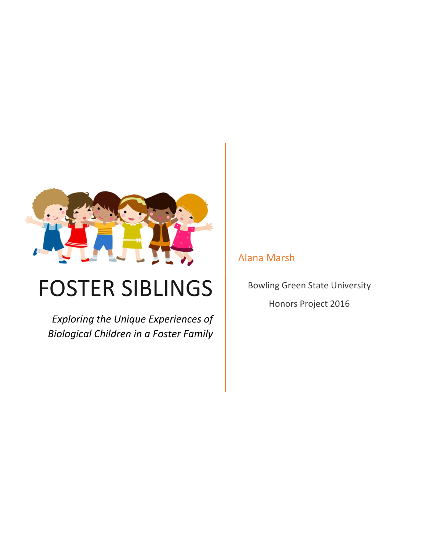

# FOSTER SIBLINGS

*Exploring the Unique Experiences of Biological Children in a Foster Family*

Alana Marsh

Bowling Green State University

Honors Project 2016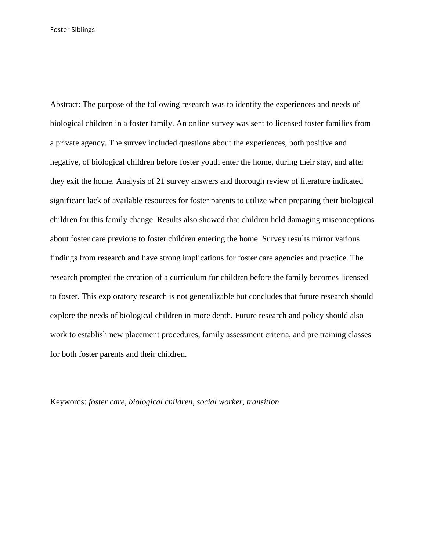Abstract: The purpose of the following research was to identify the experiences and needs of biological children in a foster family. An online survey was sent to licensed foster families from a private agency. The survey included questions about the experiences, both positive and negative, of biological children before foster youth enter the home, during their stay, and after they exit the home. Analysis of 21 survey answers and thorough review of literature indicated significant lack of available resources for foster parents to utilize when preparing their biological children for this family change. Results also showed that children held damaging misconceptions about foster care previous to foster children entering the home. Survey results mirror various findings from research and have strong implications for foster care agencies and practice. The research prompted the creation of a curriculum for children before the family becomes licensed to foster. This exploratory research is not generalizable but concludes that future research should explore the needs of biological children in more depth. Future research and policy should also work to establish new placement procedures, family assessment criteria, and pre training classes for both foster parents and their children.

Keywords: *foster care, biological children, social worker, transition*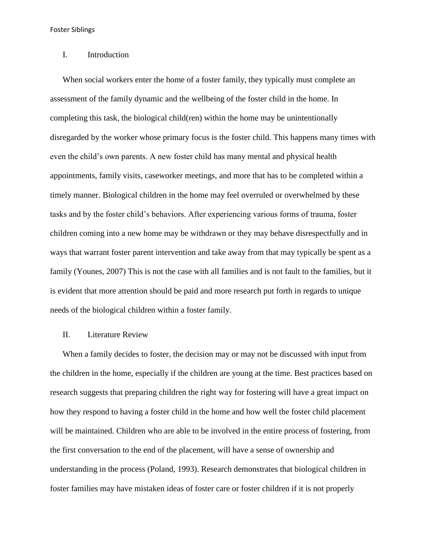#### I. Introduction

When social workers enter the home of a foster family, they typically must complete an assessment of the family dynamic and the wellbeing of the foster child in the home. In completing this task, the biological child(ren) within the home may be unintentionally disregarded by the worker whose primary focus is the foster child. This happens many times with even the child's own parents. A new foster child has many mental and physical health appointments, family visits, caseworker meetings, and more that has to be completed within a timely manner. Biological children in the home may feel overruled or overwhelmed by these tasks and by the foster child's behaviors. After experiencing various forms of trauma, foster children coming into a new home may be withdrawn or they may behave disrespectfully and in ways that warrant foster parent intervention and take away from that may typically be spent as a family (Younes, 2007) This is not the case with all families and is not fault to the families, but it is evident that more attention should be paid and more research put forth in regards to unique needs of the biological children within a foster family.

#### II. Literature Review

When a family decides to foster, the decision may or may not be discussed with input from the children in the home, especially if the children are young at the time. Best practices based on research suggests that preparing children the right way for fostering will have a great impact on how they respond to having a foster child in the home and how well the foster child placement will be maintained. Children who are able to be involved in the entire process of fostering, from the first conversation to the end of the placement, will have a sense of ownership and understanding in the process (Poland, 1993). Research demonstrates that biological children in foster families may have mistaken ideas of foster care or foster children if it is not properly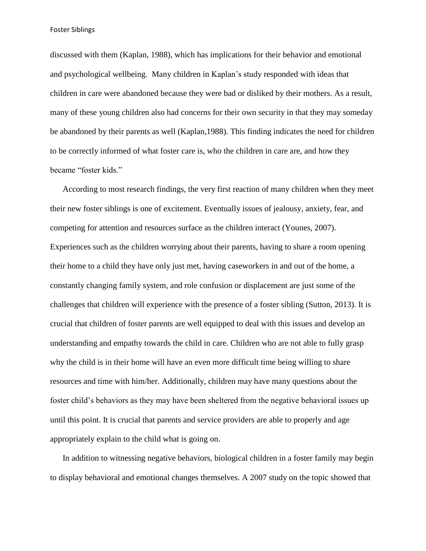discussed with them (Kaplan, 1988), which has implications for their behavior and emotional and psychological wellbeing. Many children in Kaplan's study responded with ideas that children in care were abandoned because they were bad or disliked by their mothers. As a result, many of these young children also had concerns for their own security in that they may someday be abandoned by their parents as well (Kaplan,1988). This finding indicates the need for children to be correctly informed of what foster care is, who the children in care are, and how they became "foster kids."

According to most research findings, the very first reaction of many children when they meet their new foster siblings is one of excitement. Eventually issues of jealousy, anxiety, fear, and competing for attention and resources surface as the children interact (Younes, 2007). Experiences such as the children worrying about their parents, having to share a room opening their home to a child they have only just met, having caseworkers in and out of the home, a constantly changing family system, and role confusion or displacement are just some of the challenges that children will experience with the presence of a foster sibling (Sutton, 2013). It is crucial that children of foster parents are well equipped to deal with this issues and develop an understanding and empathy towards the child in care. Children who are not able to fully grasp why the child is in their home will have an even more difficult time being willing to share resources and time with him/her. Additionally, children may have many questions about the foster child's behaviors as they may have been sheltered from the negative behavioral issues up until this point. It is crucial that parents and service providers are able to properly and age appropriately explain to the child what is going on.

In addition to witnessing negative behaviors, biological children in a foster family may begin to display behavioral and emotional changes themselves. A 2007 study on the topic showed that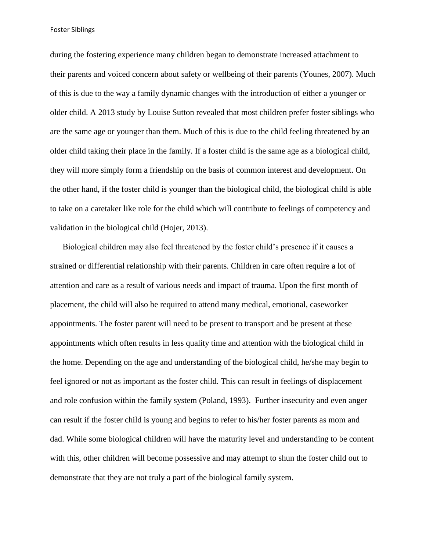during the fostering experience many children began to demonstrate increased attachment to their parents and voiced concern about safety or wellbeing of their parents (Younes, 2007). Much of this is due to the way a family dynamic changes with the introduction of either a younger or older child. A 2013 study by Louise Sutton revealed that most children prefer foster siblings who are the same age or younger than them. Much of this is due to the child feeling threatened by an older child taking their place in the family. If a foster child is the same age as a biological child, they will more simply form a friendship on the basis of common interest and development. On the other hand, if the foster child is younger than the biological child, the biological child is able to take on a caretaker like role for the child which will contribute to feelings of competency and validation in the biological child (Hojer, 2013).

Biological children may also feel threatened by the foster child's presence if it causes a strained or differential relationship with their parents. Children in care often require a lot of attention and care as a result of various needs and impact of trauma. Upon the first month of placement, the child will also be required to attend many medical, emotional, caseworker appointments. The foster parent will need to be present to transport and be present at these appointments which often results in less quality time and attention with the biological child in the home. Depending on the age and understanding of the biological child, he/she may begin to feel ignored or not as important as the foster child. This can result in feelings of displacement and role confusion within the family system (Poland, 1993). Further insecurity and even anger can result if the foster child is young and begins to refer to his/her foster parents as mom and dad. While some biological children will have the maturity level and understanding to be content with this, other children will become possessive and may attempt to shun the foster child out to demonstrate that they are not truly a part of the biological family system.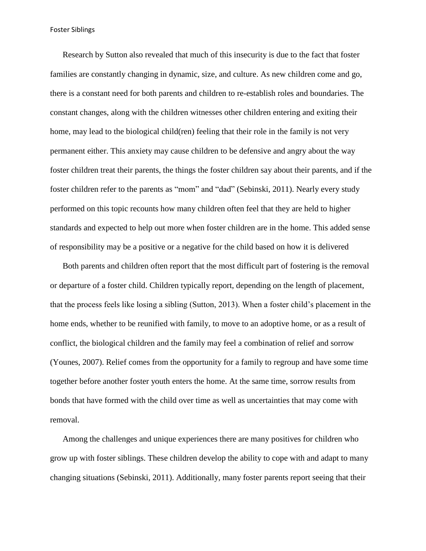Research by Sutton also revealed that much of this insecurity is due to the fact that foster families are constantly changing in dynamic, size, and culture. As new children come and go, there is a constant need for both parents and children to re-establish roles and boundaries. The constant changes, along with the children witnesses other children entering and exiting their home, may lead to the biological child(ren) feeling that their role in the family is not very permanent either. This anxiety may cause children to be defensive and angry about the way foster children treat their parents, the things the foster children say about their parents, and if the foster children refer to the parents as "mom" and "dad" (Sebinski, 2011). Nearly every study performed on this topic recounts how many children often feel that they are held to higher standards and expected to help out more when foster children are in the home. This added sense of responsibility may be a positive or a negative for the child based on how it is delivered

Both parents and children often report that the most difficult part of fostering is the removal or departure of a foster child. Children typically report, depending on the length of placement, that the process feels like losing a sibling (Sutton, 2013). When a foster child's placement in the home ends, whether to be reunified with family, to move to an adoptive home, or as a result of conflict, the biological children and the family may feel a combination of relief and sorrow (Younes, 2007). Relief comes from the opportunity for a family to regroup and have some time together before another foster youth enters the home. At the same time, sorrow results from bonds that have formed with the child over time as well as uncertainties that may come with removal.

Among the challenges and unique experiences there are many positives for children who grow up with foster siblings. These children develop the ability to cope with and adapt to many changing situations (Sebinski, 2011). Additionally, many foster parents report seeing that their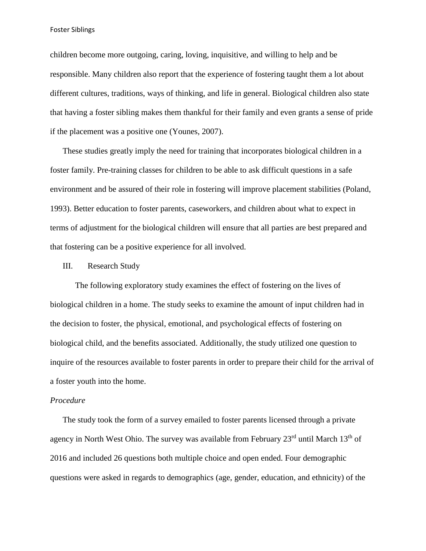children become more outgoing, caring, loving, inquisitive, and willing to help and be responsible. Many children also report that the experience of fostering taught them a lot about different cultures, traditions, ways of thinking, and life in general. Biological children also state that having a foster sibling makes them thankful for their family and even grants a sense of pride if the placement was a positive one (Younes, 2007).

These studies greatly imply the need for training that incorporates biological children in a foster family. Pre-training classes for children to be able to ask difficult questions in a safe environment and be assured of their role in fostering will improve placement stabilities (Poland, 1993). Better education to foster parents, caseworkers, and children about what to expect in terms of adjustment for the biological children will ensure that all parties are best prepared and that fostering can be a positive experience for all involved.

#### III. Research Study

The following exploratory study examines the effect of fostering on the lives of biological children in a home. The study seeks to examine the amount of input children had in the decision to foster, the physical, emotional, and psychological effects of fostering on biological child, and the benefits associated. Additionally, the study utilized one question to inquire of the resources available to foster parents in order to prepare their child for the arrival of a foster youth into the home.

#### *Procedure*

The study took the form of a survey emailed to foster parents licensed through a private agency in North West Ohio. The survey was available from February 23<sup>rd</sup> until March 13<sup>th</sup> of 2016 and included 26 questions both multiple choice and open ended. Four demographic questions were asked in regards to demographics (age, gender, education, and ethnicity) of the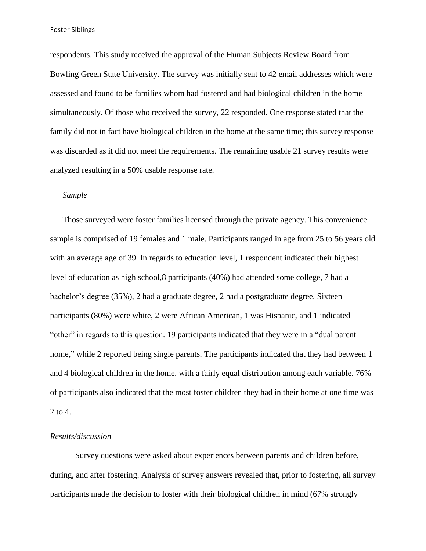respondents. This study received the approval of the Human Subjects Review Board from Bowling Green State University. The survey was initially sent to 42 email addresses which were assessed and found to be families whom had fostered and had biological children in the home simultaneously. Of those who received the survey, 22 responded. One response stated that the family did not in fact have biological children in the home at the same time; this survey response was discarded as it did not meet the requirements. The remaining usable 21 survey results were analyzed resulting in a 50% usable response rate.

#### *Sample*

Those surveyed were foster families licensed through the private agency. This convenience sample is comprised of 19 females and 1 male. Participants ranged in age from 25 to 56 years old with an average age of 39. In regards to education level, 1 respondent indicated their highest level of education as high school,8 participants (40%) had attended some college, 7 had a bachelor's degree (35%), 2 had a graduate degree, 2 had a postgraduate degree. Sixteen participants (80%) were white, 2 were African American, 1 was Hispanic, and 1 indicated "other" in regards to this question. 19 participants indicated that they were in a "dual parent home," while 2 reported being single parents. The participants indicated that they had between 1 and 4 biological children in the home, with a fairly equal distribution among each variable. 76% of participants also indicated that the most foster children they had in their home at one time was 2 to 4.

### *Results/discussion*

Survey questions were asked about experiences between parents and children before, during, and after fostering. Analysis of survey answers revealed that, prior to fostering, all survey participants made the decision to foster with their biological children in mind (67% strongly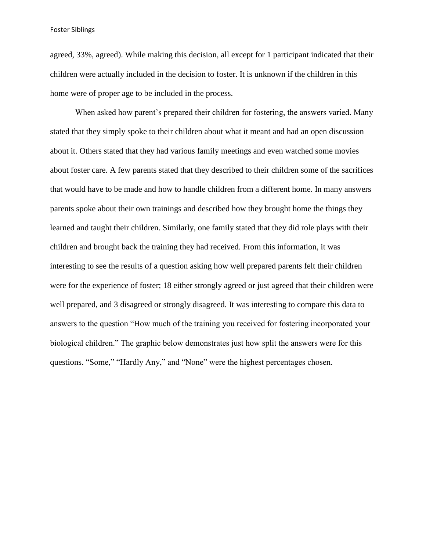agreed, 33%, agreed). While making this decision, all except for 1 participant indicated that their children were actually included in the decision to foster. It is unknown if the children in this home were of proper age to be included in the process.

When asked how parent's prepared their children for fostering, the answers varied. Many stated that they simply spoke to their children about what it meant and had an open discussion about it. Others stated that they had various family meetings and even watched some movies about foster care. A few parents stated that they described to their children some of the sacrifices that would have to be made and how to handle children from a different home. In many answers parents spoke about their own trainings and described how they brought home the things they learned and taught their children. Similarly, one family stated that they did role plays with their children and brought back the training they had received. From this information, it was interesting to see the results of a question asking how well prepared parents felt their children were for the experience of foster; 18 either strongly agreed or just agreed that their children were well prepared, and 3 disagreed or strongly disagreed. It was interesting to compare this data to answers to the question "How much of the training you received for fostering incorporated your biological children." The graphic below demonstrates just how split the answers were for this questions. "Some," "Hardly Any," and "None" were the highest percentages chosen.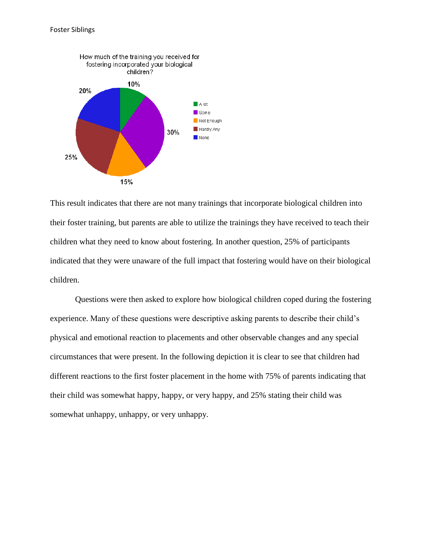

This result indicates that there are not many trainings that incorporate biological children into their foster training, but parents are able to utilize the trainings they have received to teach their children what they need to know about fostering. In another question, 25% of participants indicated that they were unaware of the full impact that fostering would have on their biological children.

Questions were then asked to explore how biological children coped during the fostering experience. Many of these questions were descriptive asking parents to describe their child's physical and emotional reaction to placements and other observable changes and any special circumstances that were present. In the following depiction it is clear to see that children had different reactions to the first foster placement in the home with 75% of parents indicating that their child was somewhat happy, happy, or very happy, and 25% stating their child was somewhat unhappy, unhappy, or very unhappy.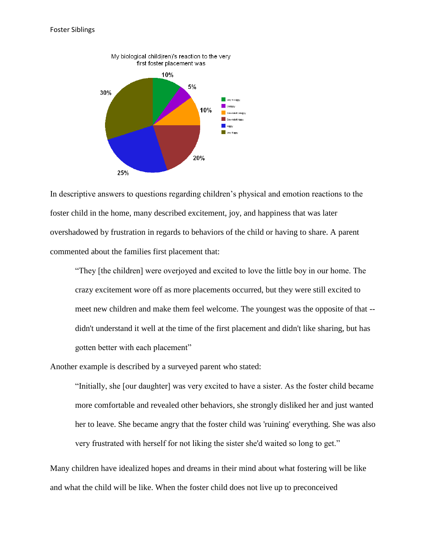

In descriptive answers to questions regarding children's physical and emotion reactions to the foster child in the home, many described excitement, joy, and happiness that was later overshadowed by frustration in regards to behaviors of the child or having to share. A parent commented about the families first placement that:

"They [the children] were overjoyed and excited to love the little boy in our home. The crazy excitement wore off as more placements occurred, but they were still excited to meet new children and make them feel welcome. The youngest was the opposite of that - didn't understand it well at the time of the first placement and didn't like sharing, but has gotten better with each placement"

Another example is described by a surveyed parent who stated:

"Initially, she [our daughter] was very excited to have a sister. As the foster child became more comfortable and revealed other behaviors, she strongly disliked her and just wanted her to leave. She became angry that the foster child was 'ruining' everything. She was also very frustrated with herself for not liking the sister she'd waited so long to get."

Many children have idealized hopes and dreams in their mind about what fostering will be like and what the child will be like. When the foster child does not live up to preconceived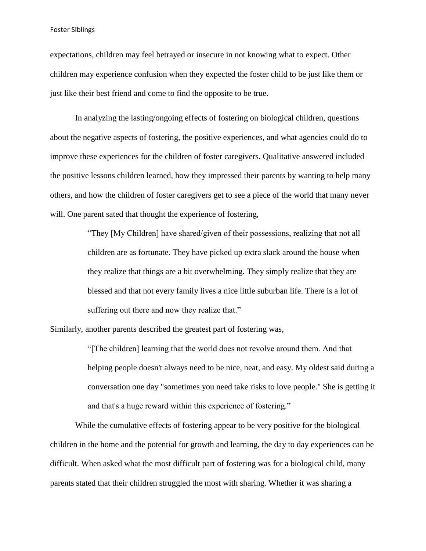expectations, children may feel betrayed or insecure in not knowing what to expect. Other children may experience confusion when they expected the foster child to be just like them or just like their best friend and come to find the opposite to be true.

In analyzing the lasting/ongoing effects of fostering on biological children, questions about the negative aspects of fostering, the positive experiences, and what agencies could do to improve these experiences for the children of foster caregivers. Qualitative answered included the positive lessons children learned, how they impressed their parents by wanting to help many others, and how the children of foster caregivers get to see a piece of the world that many never will. One parent sated that thought the experience of fostering,

> "They [My Children] have shared/given of their possessions, realizing that not all children are as fortunate. They have picked up extra slack around the house when they realize that things are a bit overwhelming. They simply realize that they are blessed and that not every family lives a nice little suburban life. There is a lot of suffering out there and now they realize that."

Similarly, another parents described the greatest part of fostering was,

"[The children] learning that the world does not revolve around them. And that helping people doesn't always need to be nice, neat, and easy. My oldest said during a conversation one day "sometimes you need take risks to love people." She is getting it and that's a huge reward within this experience of fostering."

While the cumulative effects of fostering appear to be very positive for the biological children in the home and the potential for growth and learning, the day to day experiences can be difficult. When asked what the most difficult part of fostering was for a biological child, many parents stated that their children struggled the most with sharing. Whether it was sharing a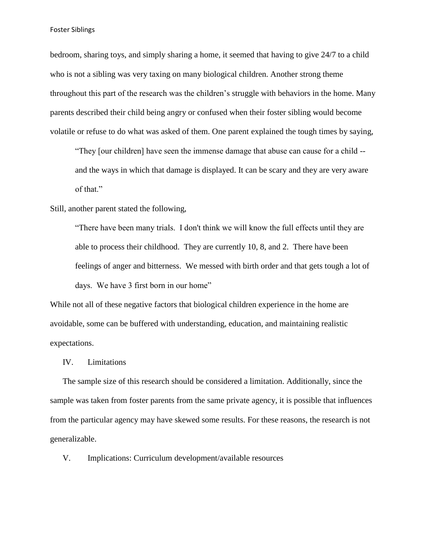bedroom, sharing toys, and simply sharing a home, it seemed that having to give 24/7 to a child who is not a sibling was very taxing on many biological children. Another strong theme throughout this part of the research was the children's struggle with behaviors in the home. Many parents described their child being angry or confused when their foster sibling would become volatile or refuse to do what was asked of them. One parent explained the tough times by saying,

"They [our children] have seen the immense damage that abuse can cause for a child - and the ways in which that damage is displayed. It can be scary and they are very aware of that."

Still, another parent stated the following,

"There have been many trials. I don't think we will know the full effects until they are able to process their childhood. They are currently 10, 8, and 2. There have been feelings of anger and bitterness. We messed with birth order and that gets tough a lot of days. We have 3 first born in our home"

While not all of these negative factors that biological children experience in the home are avoidable, some can be buffered with understanding, education, and maintaining realistic expectations.

IV. Limitations

The sample size of this research should be considered a limitation. Additionally, since the sample was taken from foster parents from the same private agency, it is possible that influences from the particular agency may have skewed some results. For these reasons, the research is not generalizable.

V. Implications: Curriculum development/available resources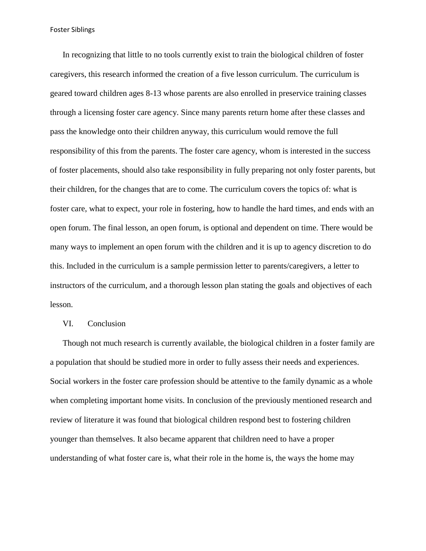In recognizing that little to no tools currently exist to train the biological children of foster caregivers, this research informed the creation of a five lesson curriculum. The curriculum is geared toward children ages 8-13 whose parents are also enrolled in preservice training classes through a licensing foster care agency. Since many parents return home after these classes and pass the knowledge onto their children anyway, this curriculum would remove the full responsibility of this from the parents. The foster care agency, whom is interested in the success of foster placements, should also take responsibility in fully preparing not only foster parents, but their children, for the changes that are to come. The curriculum covers the topics of: what is foster care, what to expect, your role in fostering, how to handle the hard times, and ends with an open forum. The final lesson, an open forum, is optional and dependent on time. There would be many ways to implement an open forum with the children and it is up to agency discretion to do this. Included in the curriculum is a sample permission letter to parents/caregivers, a letter to instructors of the curriculum, and a thorough lesson plan stating the goals and objectives of each lesson.

#### VI. Conclusion

Though not much research is currently available, the biological children in a foster family are a population that should be studied more in order to fully assess their needs and experiences. Social workers in the foster care profession should be attentive to the family dynamic as a whole when completing important home visits. In conclusion of the previously mentioned research and review of literature it was found that biological children respond best to fostering children younger than themselves. It also became apparent that children need to have a proper understanding of what foster care is, what their role in the home is, the ways the home may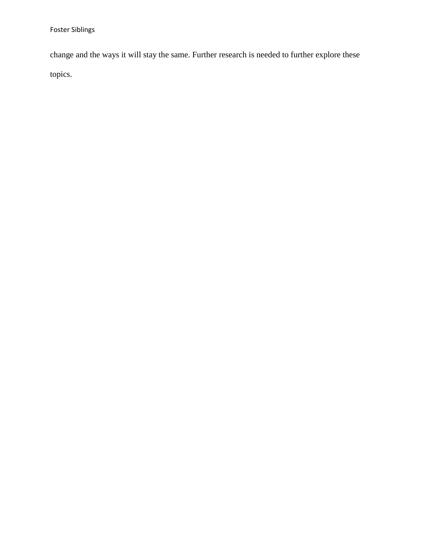change and the ways it will stay the same. Further research is needed to further explore these topics.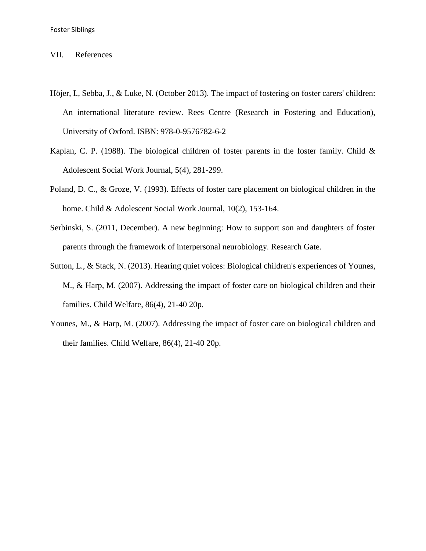#### VII. References

- Höjer, I., Sebba, J., & Luke, N. (October 2013). The impact of fostering on foster carers' children: An international literature review. Rees Centre (Research in Fostering and Education), University of Oxford. ISBN: 978-0-9576782-6-2
- Kaplan, C. P. (1988). The biological children of foster parents in the foster family. Child  $\&$ Adolescent Social Work Journal, 5(4), 281-299.
- Poland, D. C., & Groze, V. (1993). Effects of foster care placement on biological children in the home. Child & Adolescent Social Work Journal, 10(2), 153-164.
- Serbinski, S. (2011, December). A new beginning: How to support son and daughters of foster parents through the framework of interpersonal neurobiology. Research Gate.
- Sutton, L., & Stack, N. (2013). Hearing quiet voices: Biological children's experiences of Younes, M., & Harp, M. (2007). Addressing the impact of foster care on biological children and their families. Child Welfare, 86(4), 21-40 20p.
- Younes, M., & Harp, M. (2007). Addressing the impact of foster care on biological children and their families. Child Welfare, 86(4), 21-40 20p.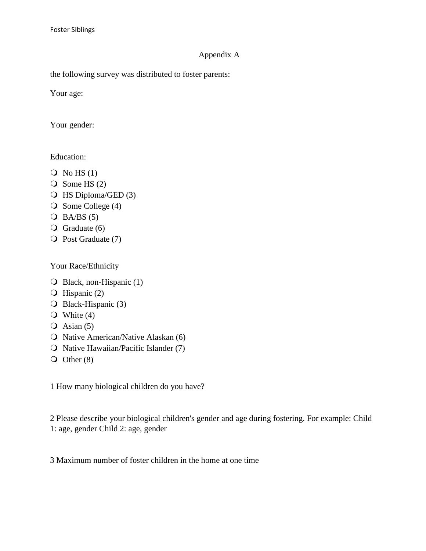## Appendix A

the following survey was distributed to foster parents:

Your age:

Your gender:

Education:

- $\overline{Q}$  No HS (1)
- $\overline{O}$  Some HS (2)
- HS Diploma/GED (3)
- $\bigcirc$  Some College (4)
- $O$  BA/BS (5)
- $\overline{Q}$  Graduate (6)
- O Post Graduate (7)

Your Race/Ethnicity

- Black, non-Hispanic (1)
- $\overline{O}$  Hispanic (2)
- O Black-Hispanic (3)
- $\bullet$  White (4)
- $\overline{Q}$  Asian (5)
- O Native American/Native Alaskan (6)
- O Native Hawaiian/Pacific Islander (7)
- $\overline{O}$  Other (8)

1 How many biological children do you have?

2 Please describe your biological children's gender and age during fostering. For example: Child 1: age, gender Child 2: age, gender

3 Maximum number of foster children in the home at one time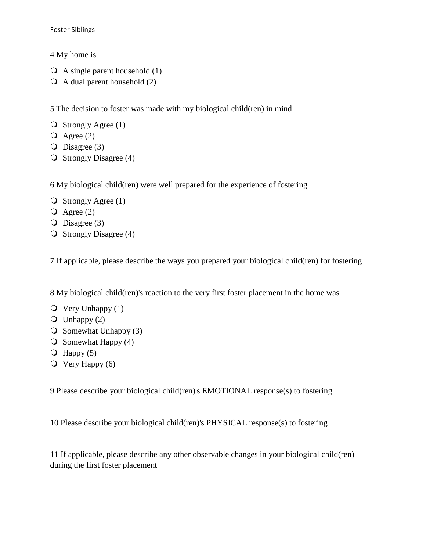4 My home is

- $\overline{Q}$  A single parent household (1)
- $\overline{Q}$  A dual parent household (2)

5 The decision to foster was made with my biological child(ren) in mind

- $\bigcirc$  Strongly Agree (1)
- $\overline{Q}$  Agree (2)
- $\overline{O}$  Disagree (3)
- $\overline{O}$  Strongly Disagree (4)

6 My biological child(ren) were well prepared for the experience of fostering

- $\bigcirc$  Strongly Agree (1)
- $\overline{Q}$  Agree (2)
- $\overline{O}$  Disagree (3)
- $\overline{O}$  Strongly Disagree (4)

7 If applicable, please describe the ways you prepared your biological child(ren) for fostering

8 My biological child(ren)'s reaction to the very first foster placement in the home was

- $\overline{Q}$  Very Unhappy (1)
- $\overline{O}$  Unhappy (2)
- $\overline{O}$  Somewhat Unhappy (3)
- $\overline{O}$  Somewhat Happy (4)
- $\overline{O}$  Happy (5)
- $\overline{Q}$  Very Happy (6)

9 Please describe your biological child(ren)'s EMOTIONAL response(s) to fostering

10 Please describe your biological child(ren)'s PHYSICAL response(s) to fostering

11 If applicable, please describe any other observable changes in your biological child(ren) during the first foster placement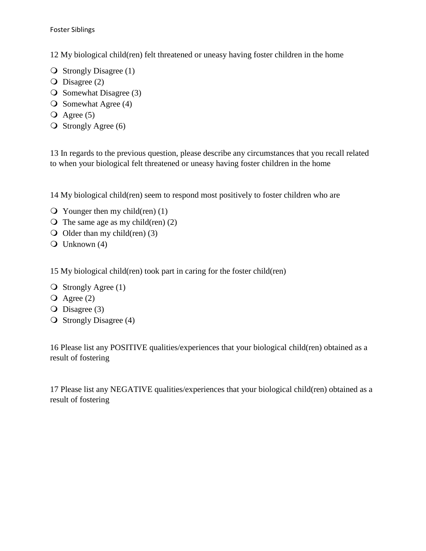12 My biological child(ren) felt threatened or uneasy having foster children in the home

- $\overline{O}$  Strongly Disagree (1)
- $\overline{O}$  Disagree (2)
- $\overline{O}$  Somewhat Disagree (3)
- $\overline{O}$  Somewhat Agree (4)
- $\overline{Q}$  Agree (5)
- $\overline{O}$  Strongly Agree (6)

13 In regards to the previous question, please describe any circumstances that you recall related to when your biological felt threatened or uneasy having foster children in the home

14 My biological child(ren) seem to respond most positively to foster children who are

- $\overline{Q}$  Younger then my child(ren) (1)
- $\overline{O}$  The same age as my child(ren) (2)
- $\bigcirc$  Older than my child(ren) (3)
- $\overline{Q}$  Unknown (4)

15 My biological child(ren) took part in caring for the foster child(ren)

- $\bigcirc$  Strongly Agree (1)
- $\overline{Q}$  Agree (2)
- $\overline{O}$  Disagree (3)
- $\overline{O}$  Strongly Disagree (4)

16 Please list any POSITIVE qualities/experiences that your biological child(ren) obtained as a result of fostering

17 Please list any NEGATIVE qualities/experiences that your biological child(ren) obtained as a result of fostering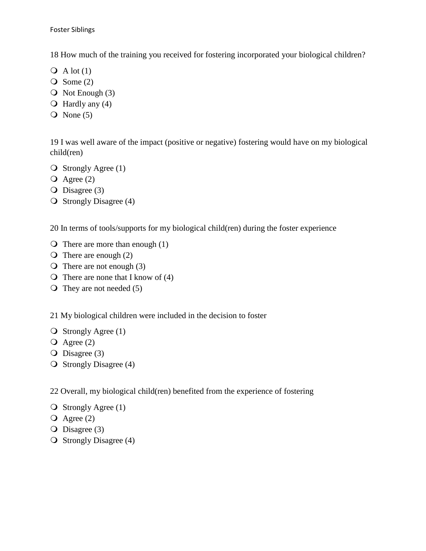18 How much of the training you received for fostering incorporated your biological children?

- $\overline{Q}$  A lot (1)
- $\overline{Q}$  Some (2)
- $\overline{O}$  Not Enough (3)
- $\bigcirc$  Hardly any (4)
- $\overline{Q}$  None (5)

19 I was well aware of the impact (positive or negative) fostering would have on my biological child(ren)

- $\bigcirc$  Strongly Agree (1)
- $\overline{Q}$  Agree (2)
- $\overline{O}$  Disagree (3)
- $\overline{O}$  Strongly Disagree (4)

20 In terms of tools/supports for my biological child(ren) during the foster experience

- $\bigcirc$  There are more than enough (1)
- $\overline{O}$  There are enough (2)
- $\overline{O}$  There are not enough (3)
- $\bigcirc$  There are none that I know of (4)
- $\overline{O}$  They are not needed (5)

21 My biological children were included in the decision to foster

- $\bigcirc$  Strongly Agree (1)
- $\overline{Q}$  Agree (2)
- $\overline{O}$  Disagree (3)
- $\overline{O}$  Strongly Disagree (4)

22 Overall, my biological child(ren) benefited from the experience of fostering

```
\bigcirc Strongly Agree (1)
```
- $\overline{Q}$  Agree (2)
- $\overline{O}$  Disagree (3)
- $\overline{O}$  Strongly Disagree (4)